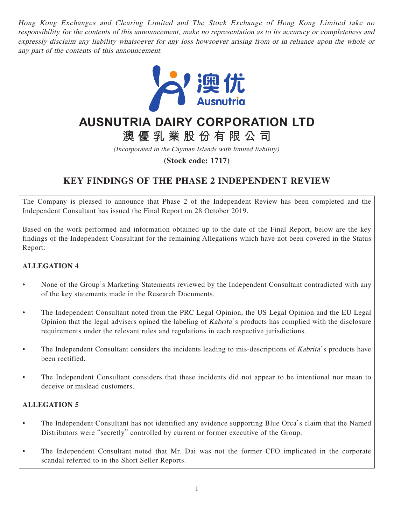Hong Kong Exchanges and Clearing Limited and The Stock Exchange of Hong Kong Limited take no responsibility for the contents of this announcement, make no representation as to its accuracy or completeness and expressly disclaim any liability whatsoever for any loss howsoever arising from or in reliance upon the whole or any part of the contents of this announcement.



# **AUSNUTRIA DAIRY CORPORATION LTD**

**澳優乳業股份有限公司**

(Incorporated in the Cayman Islands with limited liability)

**(Stock code: 1717)**

# **KEY FINDINGS OF THE PHASE 2 INDEPENDENT REVIEW**

The Company is pleased to announce that Phase 2 of the Independent Review has been completed and the Independent Consultant has issued the Final Report on 28 October 2019.

Based on the work performed and information obtained up to the date of the Final Report, below are the key findings of the Independent Consultant for the remaining Allegations which have not been covered in the Status Report:

# **ALLEGATION 4**

- None of the Group's Marketing Statements reviewed by the Independent Consultant contradicted with any of the key statements made in the Research Documents.
- The Independent Consultant noted from the PRC Legal Opinion, the US Legal Opinion and the EU Legal Opinion that the legal advisers opined the labeling of Kabrita 's products has complied with the disclosure requirements under the relevant rules and regulations in each respective jurisdictions.
- The Independent Consultant considers the incidents leading to mis-descriptions of Kabrita's products have been rectified.
- The Independent Consultant considers that these incidents did not appear to be intentional nor mean to deceive or mislead customers.

# **ALLEGATION 5**

- The Independent Consultant has not identified any evidence supporting Blue Orca's claim that the Named Distributors were "secretly" controlled by current or former executive of the Group.
- The Independent Consultant noted that Mr. Dai was not the former CFO implicated in the corporate scandal referred to in the Short Seller Reports.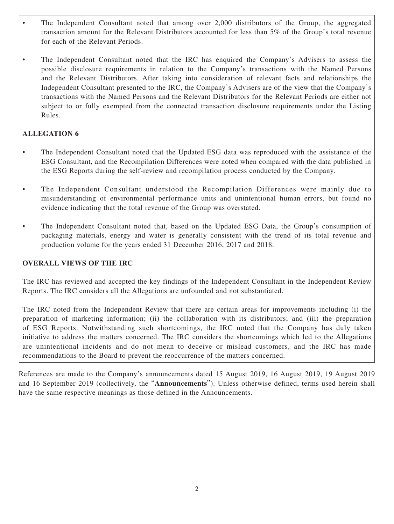- The Independent Consultant noted that among over 2,000 distributors of the Group, the aggregated transaction amount for the Relevant Distributors accounted for less than 5% of the Group's total revenue for each of the Relevant Periods.
- The Independent Consultant noted that the IRC has enquired the Company's Advisers to assess the possible disclosure requirements in relation to the Company's transactions with the Named Persons and the Relevant Distributors. After taking into consideration of relevant facts and relationships the Independent Consultant presented to the IRC, the Company's Advisers are of the view that the Company's transactions with the Named Persons and the Relevant Distributors for the Relevant Periods are either not subject to or fully exempted from the connected transaction disclosure requirements under the Listing Rules.

# **ALLEGATION 6**

- The Independent Consultant noted that the Updated ESG data was reproduced with the assistance of the ESG Consultant, and the Recompilation Differences were noted when compared with the data published in the ESG Reports during the self-review and recompilation process conducted by the Company.
- The Independent Consultant understood the Recompilation Differences were mainly due to misunderstanding of environmental performance units and unintentional human errors, but found no evidence indicating that the total revenue of the Group was overstated.
- The Independent Consultant noted that, based on the Updated ESG Data, the Group's consumption of packaging materials, energy and water is generally consistent with the trend of its total revenue and production volume for the years ended 31 December 2016, 2017 and 2018.

# **OVERALL VIEWS OF THE IRC**

The IRC has reviewed and accepted the key findings of the Independent Consultant in the Independent Review Reports. The IRC considers all the Allegations are unfounded and not substantiated.

The IRC noted from the Independent Review that there are certain areas for improvements including (i) the preparation of marketing information; (ii) the collaboration with its distributors; and (iii) the preparation of ESG Reports. Notwithstanding such shortcomings, the IRC noted that the Company has duly taken initiative to address the matters concerned. The IRC considers the shortcomings which led to the Allegations are unintentional incidents and do not mean to deceive or mislead customers, and the IRC has made recommendations to the Board to prevent the reoccurrence of the matters concerned.

References are made to the Company's announcements dated 15 August 2019, 16 August 2019, 19 August 2019 and 16 September 2019 (collectively, the "**Announcements**"). Unless otherwise defined, terms used herein shall have the same respective meanings as those defined in the Announcements.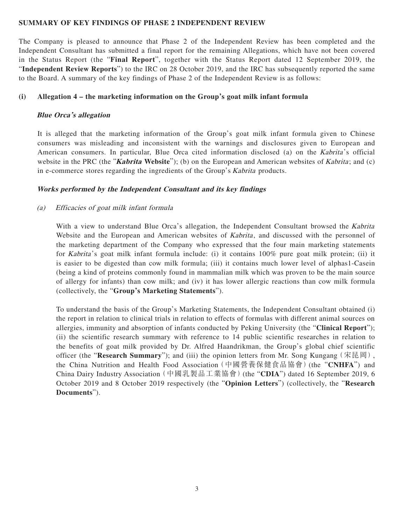### **SUMMARY OF KEY FINDINGS OF PHASE 2 INDEPENDENT REVIEW**

The Company is pleased to announce that Phase 2 of the Independent Review has been completed and the Independent Consultant has submitted a final report for the remaining Allegations, which have not been covered in the Status Report (the "**Final Report**", together with the Status Report dated 12 September 2019, the "**Independent Review Reports**") to the IRC on 28 October 2019, and the IRC has subsequently reported the same to the Board. A summary of the key findings of Phase 2 of the Independent Review is as follows:

### **(i) Allegation 4 – the marketing information on the Group's goat milk infant formula**

## **Blue Orca's allegation**

It is alleged that the marketing information of the Group's goat milk infant formula given to Chinese consumers was misleading and inconsistent with the warnings and disclosures given to European and American consumers. In particular, Blue Orca cited information disclosed (a) on the Kabrita's official website in the PRC (the "**Kabrita Website**"); (b) on the European and American websites of Kabrita; and (c) in e-commerce stores regarding the ingredients of the Group's Kabrita products.

# **Works performed by the Independent Consultant and its key findings**

# (a) Efficacies of goat milk infant formula

With a view to understand Blue Orca's allegation, the Independent Consultant browsed the Kabrita Website and the European and American websites of *Kabrita*, and discussed with the personnel of the marketing department of the Company who expressed that the four main marketing statements for Kabrita 's goat milk infant formula include: (i) it contains 100% pure goat milk protein; (ii) it is easier to be digested than cow milk formula; (iii) it contains much lower level of alphas1-Casein (being a kind of proteins commonly found in mammalian milk which was proven to be the main source of allergy for infants) than cow milk; and (iv) it has lower allergic reactions than cow milk formula (collectively, the "**Group's Marketing Statements**").

To understand the basis of the Group's Marketing Statements, the Independent Consultant obtained (i) the report in relation to clinical trials in relation to effects of formulas with different animal sources on allergies, immunity and absorption of infants conducted by Peking University (the "**Clinical Report**"); (ii) the scientific research summary with reference to 14 public scientific researches in relation to the benefits of goat milk provided by Dr. Alfred Haandrikman, the Group's global chief scientific officer (the "**Research Summary**"); and (iii) the opinion letters from Mr. Song Kungang(宋昆岡), the China Nutrition and Health Food Association(中國營養保健食品協會)(the "**CNHFA**") and China Dairy Industry Association(中國乳製品工業協會)(the "**CDIA**") dated 16 September 2019, 6 October 2019 and 8 October 2019 respectively (the "**Opinion Letters**") (collectively, the "**Research Documents**").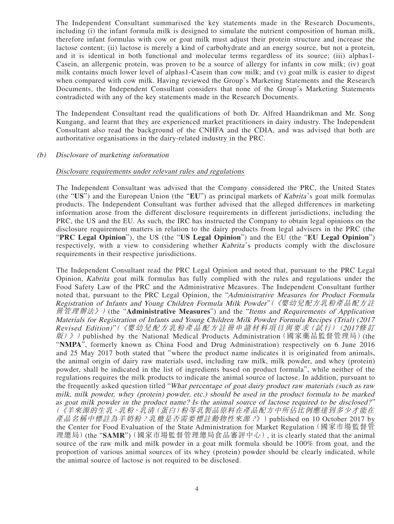The Independent Consultant summarised the key statements made in the Research Documents, including (i) the infant formula milk is designed to simulate the nutrient composition of human milk, therefore infant formulas with cow or goat milk must adjust their protein structure and increase the lactose content; (ii) lactose is merely a kind of carbohydrate and an energy source, but not a protein, and it is identical in both functional and molecular terms regardless of its source; (iii) alphas1- Casein, an allergenic protein, was proven to be a source of allergy for infants in cow milk; (iv) goat milk contains much lower level of alphas1-Casein than cow milk; and (v) goat milk is easier to digest when compared with cow milk. Having reviewed the Group's Marketing Statements and the Research Documents, the Independent Consultant considers that none of the Group's Marketing Statements contradicted with any of the key statements made in the Research Documents.

The Independent Consultant read the qualifications of both Dr. Alfred Haandrikman and Mr. Song Kungang, and learnt that they are experienced market practitioners in dairy industry. The Independent Consultant also read the background of the CNHFA and the CDIA, and was advised that both are authoritative organisations in the dairy-related industry in the PRC.

### (b) Disclosure of marketing information

### Disclosure requirements under relevant rules and regulations

The Independent Consultant was advised that the Company considered the PRC, the United States (the "**US**") and the European Union (the "**EU**") as principal markets of Kabrita 's goat milk formulas products. The Independent Consultant was further advised that the alleged differences in marketing information arose from the different disclosure requirements in different jurisdictions, including the PRC, the US and the EU. As such, the IRC has instructed the Company to obtain legal opinions on the disclosure requirement matters in relation to the dairy products from legal advisers in the PRC (the "**PRC Legal Opinion**"), the US (the "**US Legal Opinion**") and the EU (the "**EU Legal Opinion**") respectively, with a view to considering whether Kabrita's products comply with the disclosure requirements in their respective jurisdictions.

The Independent Consultant read the PRC Legal Opinion and noted that, pursuant to the PRC Legal Opinion, Kabrita goat milk formulas has fully complied with the rules and regulations under the Food Safety Law of the PRC and the Administrative Measures. The Independent Consultant further noted that, pursuant to the PRC Legal Opinion, the "Administrative Measures for Product Formula Registration of Infants and Young Children Formula Milk Powder"(《嬰幼兒配方乳粉產品配方註 冊管理辦法》)(the "**Administrative Measures**") and the "Items and Requirements of Application Materials for Registration of Infants and Young Children Milk Powder Formula Recipes (Trial) (2017 Revised Edition)"(《嬰幼兒配方乳粉產品配方註冊申請材料項目與要求(試行)(2017修訂 版)》) published by the National Medical Products Administration (國家藥品監督管理局) (the "**NMPA**", formerly known as China Food and Drug Administration) respectively on 6 June 2016 and 25 May 2017 both stated that "where the product name indicates it is originated from animals, the animal origin of dairy raw materials used, including raw milk, milk powder, and whey (protein) powder, shall be indicated in the list of ingredients based on product formula", while neither of the regulations requires the milk products to indicate the animal source of lactose. In addition, pursuant to the frequently asked question titled "What percentage of goat dairy product raw materials (such as raw milk, milk powder, whey (protein) powder, etc.) should be used in the product formula to be marked as goat milk powder in the product name? Is the animal source of lactose required to be disclosed?" (《羊來源的生乳、乳粉、乳清(蛋白)粉等乳製品原料在產品配方中所佔比例應達到多少才能在 產品名稱中標註為羊奶粉?乳糖是否需要標註動物性來源?》) published on 10 October 2017 by the Center for Food Evaluation of the State Administration for Market Regulation (國家市場監督管 理總局)(the "**SAMR**")(國家市場監督管理總局食品審評中心), it is clearly stated that the animal source of the raw milk and milk powder in a goat milk formula should be 100% from goat, and the proportion of various animal sources of its whey (protein) powder should be clearly indicated, while the animal source of lactose is not required to be disclosed.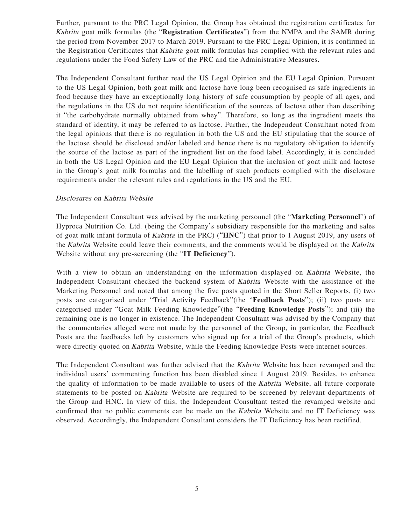Further, pursuant to the PRC Legal Opinion, the Group has obtained the registration certificates for Kabrita goat milk formulas (the "**Registration Certificates**") from the NMPA and the SAMR during the period from November 2017 to March 2019. Pursuant to the PRC Legal Opinion, it is confirmed in the Registration Certificates that *Kabrita* goat milk formulas has complied with the relevant rules and regulations under the Food Safety Law of the PRC and the Administrative Measures.

The Independent Consultant further read the US Legal Opinion and the EU Legal Opinion. Pursuant to the US Legal Opinion, both goat milk and lactose have long been recognised as safe ingredients in food because they have an exceptionally long history of safe consumption by people of all ages, and the regulations in the US do not require identification of the sources of lactose other than describing it "the carbohydrate normally obtained from whey". Therefore, so long as the ingredient meets the standard of identity, it may be referred to as lactose. Further, the Independent Consultant noted from the legal opinions that there is no regulation in both the US and the EU stipulating that the source of the lactose should be disclosed and/or labeled and hence there is no regulatory obligation to identify the source of the lactose as part of the ingredient list on the food label. Accordingly, it is concluded in both the US Legal Opinion and the EU Legal Opinion that the inclusion of goat milk and lactose in the Group's goat milk formulas and the labelling of such products complied with the disclosure requirements under the relevant rules and regulations in the US and the EU.

### Disclosures on Kabrita Website

The Independent Consultant was advised by the marketing personnel (the "**Marketing Personnel**") of Hyproca Nutrition Co. Ltd. (being the Company's subsidiary responsible for the marketing and sales of goat milk infant formula of Kabrita in the PRC) ("**HNC**") that prior to 1 August 2019, any users of the Kabrita Website could leave their comments, and the comments would be displayed on the Kabrita Website without any pre-screening (the "**IT Deficiency**").

With a view to obtain an understanding on the information displayed on Kabrita Website, the Independent Consultant checked the backend system of Kabrita Website with the assistance of the Marketing Personnel and noted that among the five posts quoted in the Short Seller Reports, (i) two posts are categorised under "Trial Activity Feedback"(the "**Feedback Posts**"); (ii) two posts are categorised under "Goat Milk Feeding Knowledge"(the "**Feeding Knowledge Posts**"); and (iii) the remaining one is no longer in existence. The Independent Consultant was advised by the Company that the commentaries alleged were not made by the personnel of the Group, in particular, the Feedback Posts are the feedbacks left by customers who signed up for a trial of the Group's products, which were directly quoted on Kabrita Website, while the Feeding Knowledge Posts were internet sources.

The Independent Consultant was further advised that the Kabrita Website has been revamped and the individual users' commenting function has been disabled since 1 August 2019. Besides, to enhance the quality of information to be made available to users of the *Kabrita* Website, all future corporate statements to be posted on *Kabrita* Website are required to be screened by relevant departments of the Group and HNC. In view of this, the Independent Consultant tested the revamped website and confirmed that no public comments can be made on the Kabrita Website and no IT Deficiency was observed. Accordingly, the Independent Consultant considers the IT Deficiency has been rectified.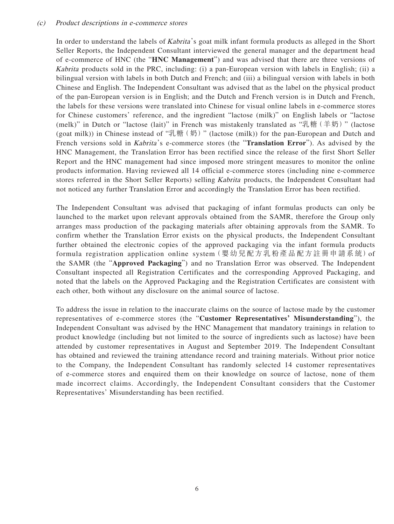### (c) Product descriptions in e-commerce stores

In order to understand the labels of *Kabrita's* goat milk infant formula products as alleged in the Short Seller Reports, the Independent Consultant interviewed the general manager and the department head of e-commerce of HNC (the "**HNC Management**") and was advised that there are three versions of Kabrita products sold in the PRC, including: (i) a pan-European version with labels in English; (ii) a bilingual version with labels in both Dutch and French; and (iii) a bilingual version with labels in both Chinese and English. The Independent Consultant was advised that as the label on the physical product of the pan-European version is in English; and the Dutch and French version is in Dutch and French, the labels for these versions were translated into Chinese for visual online labels in e-commerce stores for Chinese customers' reference, and the ingredient "lactose (milk)" on English labels or "lactose (melk)" in Dutch or "lactose (lait)" in French was mistakenly translated as "乳糖(羊奶)" (lactose (goat milk)) in Chinese instead of "乳糖(奶)" (lactose (milk)) for the pan-European and Dutch and French versions sold in *Kabrita's* e-commerce stores (the "**Translation Error**"). As advised by the HNC Management, the Translation Error has been rectified since the release of the first Short Seller Report and the HNC management had since imposed more stringent measures to monitor the online products information. Having reviewed all 14 official e-commerce stores (including nine e-commerce stores referred in the Short Seller Reports) selling Kabrita products, the Independent Consultant had not noticed any further Translation Error and accordingly the Translation Error has been rectified.

The Independent Consultant was advised that packaging of infant formulas products can only be launched to the market upon relevant approvals obtained from the SAMR, therefore the Group only arranges mass production of the packaging materials after obtaining approvals from the SAMR. To confirm whether the Translation Error exists on the physical products, the Independent Consultant further obtained the electronic copies of the approved packaging via the infant formula products formula registration application online system(嬰幼兒配方乳粉產品配方註冊申請系統)of the SAMR (the "**Approved Packaging**") and no Translation Error was observed. The Independent Consultant inspected all Registration Certificates and the corresponding Approved Packaging, and noted that the labels on the Approved Packaging and the Registration Certificates are consistent with each other, both without any disclosure on the animal source of lactose.

To address the issue in relation to the inaccurate claims on the source of lactose made by the customer representatives of e-commerce stores (the "**Customer Representatives' Misunderstanding**"), the Independent Consultant was advised by the HNC Management that mandatory trainings in relation to product knowledge (including but not limited to the source of ingredients such as lactose) have been attended by customer representatives in August and September 2019. The Independent Consultant has obtained and reviewed the training attendance record and training materials. Without prior notice to the Company, the Independent Consultant has randomly selected 14 customer representatives of e-commerce stores and enquired them on their knowledge on source of lactose, none of them made incorrect claims. Accordingly, the Independent Consultant considers that the Customer Representatives' Misunderstanding has been rectified.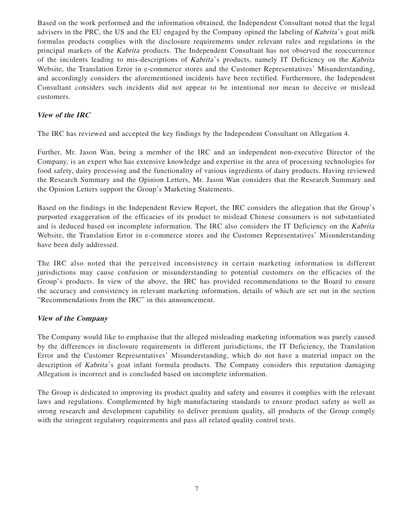Based on the work performed and the information obtained, the Independent Consultant noted that the legal advisers in the PRC, the US and the EU engaged by the Company opined the labeling of Kabrita 's goat milk formulas products complies with the disclosure requirements under relevant rules and regulations in the principal markets of the Kabrita products. The Independent Consultant has not observed the reoccurrence of the incidents leading to mis-descriptions of Kabrita 's products, namely IT Deficiency on the Kabrita Website, the Translation Error in e-commerce stores and the Customer Representatives' Misunderstanding, and accordingly considers the aforementioned incidents have been rectified. Furthermore, the Independent Consultant considers such incidents did not appear to be intentional nor mean to deceive or mislead customers.

# **View of the IRC**

The IRC has reviewed and accepted the key findings by the Independent Consultant on Allegation 4.

Further, Mr. Jason Wan, being a member of the IRC and an independent non-executive Director of the Company, is an expert who has extensive knowledge and expertise in the area of processing technologies for food safety, dairy processing and the functionality of various ingredients of dairy products. Having reviewed the Research Summary and the Opinion Letters, Mr. Jason Wan considers that the Research Summary and the Opinion Letters support the Group's Marketing Statements.

Based on the findings in the Independent Review Report, the IRC considers the allegation that the Group's purported exaggeration of the efficacies of its product to mislead Chinese consumers is not substantiated and is deduced based on incomplete information. The IRC also considers the IT Deficiency on the Kabrita Website, the Translation Error in e-commerce stores and the Customer Representatives' Misunderstanding have been duly addressed.

The IRC also noted that the perceived inconsistency in certain marketing information in different jurisdictions may cause confusion or misunderstanding to potential customers on the efficacies of the Group's products. In view of the above, the IRC has provided recommendations to the Board to ensure the accuracy and consistency in relevant marketing information, details of which are set out in the section "Recommendations from the IRC" in this announcement.

### **View of the Company**

The Company would like to emphasise that the alleged misleading marketing information was purely caused by the differences in disclosure requirements in different jurisdictions, the IT Deficiency, the Translation Error and the Customer Representatives' Misunderstanding, which do not have a material impact on the description of *Kabrita*'s goat infant formula products. The Company considers this reputation damaging Allegation is incorrect and is concluded based on incomplete information.

The Group is dedicated to improving its product quality and safety and ensures it complies with the relevant laws and regulations. Complemented by high manufacturing standards to ensure product safety as well as strong research and development capability to deliver premium quality, all products of the Group comply with the stringent regulatory requirements and pass all related quality control tests.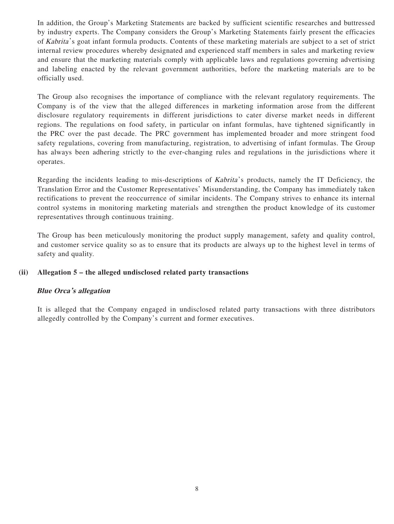In addition, the Group's Marketing Statements are backed by sufficient scientific researches and buttressed by industry experts. The Company considers the Group's Marketing Statements fairly present the efficacies of Kabrita 's goat infant formula products. Contents of these marketing materials are subject to a set of strict internal review procedures whereby designated and experienced staff members in sales and marketing review and ensure that the marketing materials comply with applicable laws and regulations governing advertising and labeling enacted by the relevant government authorities, before the marketing materials are to be officially used.

The Group also recognises the importance of compliance with the relevant regulatory requirements. The Company is of the view that the alleged differences in marketing information arose from the different disclosure regulatory requirements in different jurisdictions to cater diverse market needs in different regions. The regulations on food safety, in particular on infant formulas, have tightened significantly in the PRC over the past decade. The PRC government has implemented broader and more stringent food safety regulations, covering from manufacturing, registration, to advertising of infant formulas. The Group has always been adhering strictly to the ever-changing rules and regulations in the jurisdictions where it operates.

Regarding the incidents leading to mis-descriptions of *Kabrita'*'s products, namely the IT Deficiency, the Translation Error and the Customer Representatives' Misunderstanding, the Company has immediately taken rectifications to prevent the reoccurrence of similar incidents. The Company strives to enhance its internal control systems in monitoring marketing materials and strengthen the product knowledge of its customer representatives through continuous training.

The Group has been meticulously monitoring the product supply management, safety and quality control, and customer service quality so as to ensure that its products are always up to the highest level in terms of safety and quality.

# **(ii) Allegation 5 – the alleged undisclosed related party transactions**

### **Blue Orca's allegation**

It is alleged that the Company engaged in undisclosed related party transactions with three distributors allegedly controlled by the Company's current and former executives.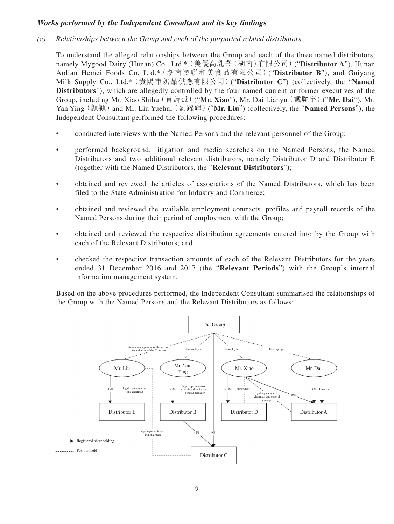# **Works performed by the Independent Consultant and its key findings**

(a) Relationships between the Group and each of the purported related distributors

To understand the alleged relationships between the Group and each of the three named distributors, namely Mygood Dairy (Hunan) Co., Ltd.\*(美優高乳業(湖南)有限公司)("**Distributor A**"), Hunan Aolian Hemei Foods Co. Ltd.\*(湖南澳聯和美食品有限公司)("**Distributor B**"), and Guiyang Milk Supply Co., Ltd.\*(貴陽市奶品供應有限公司)("**Distributor C**") (collectively, the "**Named Distributors**"), which are allegedly controlled by the four named current or former executives of the Group, including Mr. Xiao Shihu(肖詩弧)("**Mr. Xiao**"), Mr. Dai Lianyu(戴聯宇)("**Mr. Dai**"), Mr. Yan Ying(顏穎)and Mr. Liu Yuehui(劉躍輝)("**Mr. Liu**") (collectively, the "**Named Persons**"), the Independent Consultant performed the following procedures:

- conducted interviews with the Named Persons and the relevant personnel of the Group;
- performed background, litigation and media searches on the Named Persons, the Named Distributors and two additional relevant distributors, namely Distributor D and Distributor E (together with the Named Distributors, the "**Relevant Distributors**");
- obtained and reviewed the articles of associations of the Named Distributors, which has been filed to the State Administration for Industry and Commerce;
- obtained and reviewed the available employment contracts, profiles and payroll records of the Named Persons during their period of employment with the Group;
- obtained and reviewed the respective distribution agreements entered into by the Group with each of the Relevant Distributors; and
- checked the respective transaction amounts of each of the Relevant Distributors for the years ended 31 December 2016 and 2017 (the "**Relevant Periods**") with the Group's internal information management system.

Based on the above procedures performed, the Independent Consultant summarised the relationships of the Group with the Named Persons and the Relevant Distributors as follows:

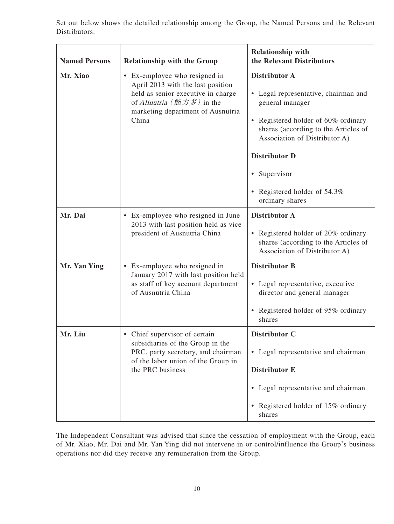Set out below shows the detailed relationship among the Group, the Named Persons and the Relevant Distributors:

| <b>Named Persons</b> | <b>Relationship with the Group</b>                                                                                                                                                  | <b>Relationship with</b><br>the Relevant Distributors                                                                                                                                                                                                                                            |  |  |
|----------------------|-------------------------------------------------------------------------------------------------------------------------------------------------------------------------------------|--------------------------------------------------------------------------------------------------------------------------------------------------------------------------------------------------------------------------------------------------------------------------------------------------|--|--|
| Mr. Xiao             | • Ex-employee who resigned in<br>April 2013 with the last position<br>held as senior executive in charge<br>of Allnutria (能力多) in the<br>marketing department of Ausnutria<br>China | <b>Distributor A</b><br>• Legal representative, chairman and<br>general manager<br>Registered holder of 60% ordinary<br>٠<br>shares (according to the Articles of<br>Association of Distributor A)<br><b>Distributor D</b><br>• Supervisor<br>Registered holder of 54.3%<br>٠<br>ordinary shares |  |  |
| Mr. Dai              | • Ex-employee who resigned in June<br>2013 with last position held as vice<br>president of Ausnutria China                                                                          | <b>Distributor A</b><br>Registered holder of 20% ordinary<br>$\bullet$<br>shares (according to the Articles of<br>Association of Distributor A)                                                                                                                                                  |  |  |
| Mr. Yan Ying         | • Ex-employee who resigned in<br>January 2017 with last position held<br>as staff of key account department<br>of Ausnutria China                                                   | <b>Distributor B</b><br>• Legal representative, executive<br>director and general manager<br>Registered holder of 95% ordinary<br>٠<br>shares                                                                                                                                                    |  |  |
| Mr. Liu              | • Chief supervisor of certain<br>subsidiaries of the Group in the<br>PRC, party secretary, and chairman<br>of the labor union of the Group in<br>the PRC business                   | Distributor C<br>• Legal representative and chairman<br><b>Distributor E</b><br>Legal representative and chairman<br>٠<br>• Registered holder of 15% ordinary<br>shares                                                                                                                          |  |  |

The Independent Consultant was advised that since the cessation of employment with the Group, each of Mr. Xiao, Mr. Dai and Mr. Yan Ying did not intervene in or control/influence the Group's business operations nor did they receive any remuneration from the Group.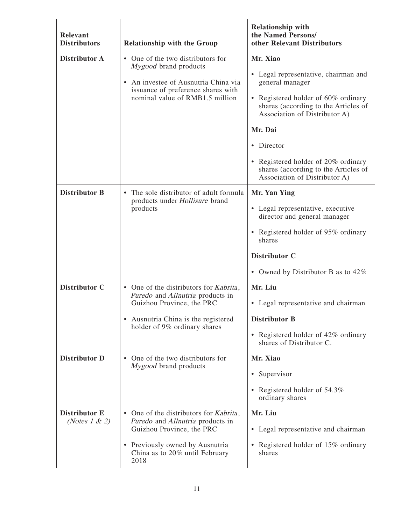| Relevant<br><b>Distributors</b>           | <b>Relationship with the Group</b>                                                                                                                                                           | <b>Relationship with</b><br>the Named Persons/<br>other Relevant Distributors                                                                                                                                                                                                                                                   |  |
|-------------------------------------------|----------------------------------------------------------------------------------------------------------------------------------------------------------------------------------------------|---------------------------------------------------------------------------------------------------------------------------------------------------------------------------------------------------------------------------------------------------------------------------------------------------------------------------------|--|
| <b>Distributor A</b>                      | • One of the two distributors for<br>Mygood brand products<br>An investee of Ausnutria China via<br>issuance of preference shares with<br>nominal value of RMB1.5 million                    | Mr. Xiao<br>Legal representative, chairman and<br>٠<br>general manager<br>• Registered holder of 60% ordinary<br>shares (according to the Articles of<br>Association of Distributor A)<br>Mr. Dai<br>• Director<br>• Registered holder of 20% ordinary<br>shares (according to the Articles of<br>Association of Distributor A) |  |
| <b>Distributor B</b>                      | The sole distributor of adult formula<br>$\bullet$<br>products under Hollisure brand<br>products                                                                                             | Mr. Yan Ying<br>• Legal representative, executive<br>director and general manager<br>• Registered holder of 95% ordinary<br>shares<br>Distributor C<br>• Owned by Distributor B as to $42\%$                                                                                                                                    |  |
| <b>Distributor C</b>                      | • One of the distributors for Kabrita,<br>Puredo and Allnutria products in<br>Guizhou Province, the PRC<br>Ausnutria China is the registered<br>holder of 9% ordinary shares                 | Mr. Liu<br>• Legal representative and chairman<br><b>Distributor B</b><br>• Registered holder of 42% ordinary<br>shares of Distributor C.                                                                                                                                                                                       |  |
| <b>Distributor D</b>                      | • One of the two distributors for<br>Mygood brand products                                                                                                                                   | Mr. Xiao<br>Supervisor<br>٠<br>• Registered holder of 54.3%<br>ordinary shares                                                                                                                                                                                                                                                  |  |
| <b>Distributor E</b><br>(Notes $1 \& 2$ ) | • One of the distributors for <i>Kabrita</i> ,<br>Puredo and Allnutria products in<br>Guizhou Province, the PRC<br>• Previously owned by Ausnutria<br>China as to 20% until February<br>2018 | Mr. Liu<br>Legal representative and chairman<br>٠<br>Registered holder of 15% ordinary<br>$\bullet$<br>shares                                                                                                                                                                                                                   |  |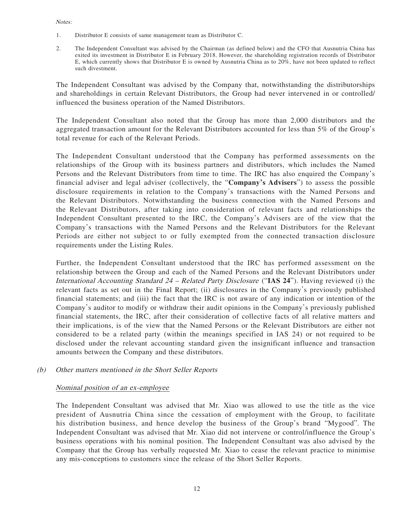#### Notes:

- 1. Distributor E consists of same management team as Distributor C.
- 2. The Independent Consultant was advised by the Chairman (as defined below) and the CFO that Ausnutria China has exited its investment in Distributor E in February 2018. However, the shareholding registration records of Distributor E, which currently shows that Distributor E is owned by Ausnutria China as to 20%, have not been updated to reflect such divestment.

The Independent Consultant was advised by the Company that, notwithstanding the distributorships and shareholdings in certain Relevant Distributors, the Group had never intervened in or controlled/ influenced the business operation of the Named Distributors.

The Independent Consultant also noted that the Group has more than 2,000 distributors and the aggregated transaction amount for the Relevant Distributors accounted for less than 5% of the Group's total revenue for each of the Relevant Periods.

The Independent Consultant understood that the Company has performed assessments on the relationships of the Group with its business partners and distributors, which includes the Named Persons and the Relevant Distributors from time to time. The IRC has also enquired the Company's financial adviser and legal adviser (collectively, the "**Company's Advisers**") to assess the possible disclosure requirements in relation to the Company's transactions with the Named Persons and the Relevant Distributors. Notwithstanding the business connection with the Named Persons and the Relevant Distributors, after taking into consideration of relevant facts and relationships the Independent Consultant presented to the IRC, the Company's Advisers are of the view that the Company's transactions with the Named Persons and the Relevant Distributors for the Relevant Periods are either not subject to or fully exempted from the connected transaction disclosure requirements under the Listing Rules.

Further, the Independent Consultant understood that the IRC has performed assessment on the relationship between the Group and each of the Named Persons and the Relevant Distributors under International Accounting Standard 24 – Related Party Disclosure ("**IAS 24**"). Having reviewed (i) the relevant facts as set out in the Final Report; (ii) disclosures in the Company's previously published financial statements; and (iii) the fact that the IRC is not aware of any indication or intention of the Company's auditor to modify or withdraw their audit opinions in the Company's previously published financial statements, the IRC, after their consideration of collective facts of all relative matters and their implications, is of the view that the Named Persons or the Relevant Distributors are either not considered to be a related party (within the meanings specified in IAS 24) or not required to be disclosed under the relevant accounting standard given the insignificant influence and transaction amounts between the Company and these distributors.

### (b) Other matters mentioned in the Short Seller Reports

### Nominal position of an ex-employee

The Independent Consultant was advised that Mr. Xiao was allowed to use the title as the vice president of Ausnutria China since the cessation of employment with the Group, to facilitate his distribution business, and hence develop the business of the Group's brand "Mygood". The Independent Consultant was advised that Mr. Xiao did not intervene or control/influence the Group's business operations with his nominal position. The Independent Consultant was also advised by the Company that the Group has verbally requested Mr. Xiao to cease the relevant practice to minimise any mis-conceptions to customers since the release of the Short Seller Reports.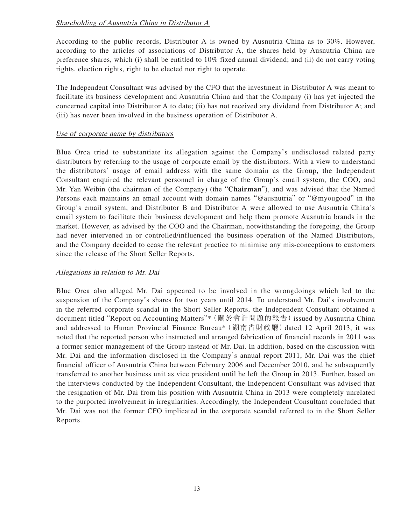# Shareholding of Ausnutria China in Distributor A

According to the public records, Distributor A is owned by Ausnutria China as to 30%. However, according to the articles of associations of Distributor A, the shares held by Ausnutria China are preference shares, which (i) shall be entitled to 10% fixed annual dividend; and (ii) do not carry voting rights, election rights, right to be elected nor right to operate.

The Independent Consultant was advised by the CFO that the investment in Distributor A was meant to facilitate its business development and Ausnutria China and that the Company (i) has yet injected the concerned capital into Distributor A to date; (ii) has not received any dividend from Distributor A; and (iii) has never been involved in the business operation of Distributor A.

# Use of corporate name by distributors

Blue Orca tried to substantiate its allegation against the Company's undisclosed related party distributors by referring to the usage of corporate email by the distributors. With a view to understand the distributors' usage of email address with the same domain as the Group, the Independent Consultant enquired the relevant personnel in charge of the Group's email system, the COO, and Mr. Yan Weibin (the chairman of the Company) (the "**Chairman**"), and was advised that the Named Persons each maintains an email account with domain names "@ausnutria" or "**@**myougood" in the Group's email system, and Distributor B and Distributor A were allowed to use Ausnutria China's email system to facilitate their business development and help them promote Ausnutria brands in the market. However, as advised by the COO and the Chairman, notwithstanding the foregoing, the Group had never intervened in or controlled/influenced the business operation of the Named Distributors, and the Company decided to cease the relevant practice to minimise any mis-conceptions to customers since the release of the Short Seller Reports.

# Allegations in relation to Mr. Dai

Blue Orca also alleged Mr. Dai appeared to be involved in the wrongdoings which led to the suspension of the Company's shares for two years until 2014. To understand Mr. Dai's involvement in the referred corporate scandal in the Short Seller Reports, the Independent Consultant obtained a document titled "Report on Accounting Matters"\*(關於會計問題的報告)issued by Ausnutria China and addressed to Hunan Provincial Finance Bureau\*(湖南省財政廳)dated 12 April 2013, it was noted that the reported person who instructed and arranged fabrication of financial records in 2011 was a former senior management of the Group instead of Mr. Dai. In addition, based on the discussion with Mr. Dai and the information disclosed in the Company's annual report 2011, Mr. Dai was the chief financial officer of Ausnutria China between February 2006 and December 2010, and he subsequently transferred to another business unit as vice president until he left the Group in 2013. Further, based on the interviews conducted by the Independent Consultant, the Independent Consultant was advised that the resignation of Mr. Dai from his position with Ausnutria China in 2013 were completely unrelated to the purported involvement in irregularities. Accordingly, the Independent Consultant concluded that Mr. Dai was not the former CFO implicated in the corporate scandal referred to in the Short Seller Reports.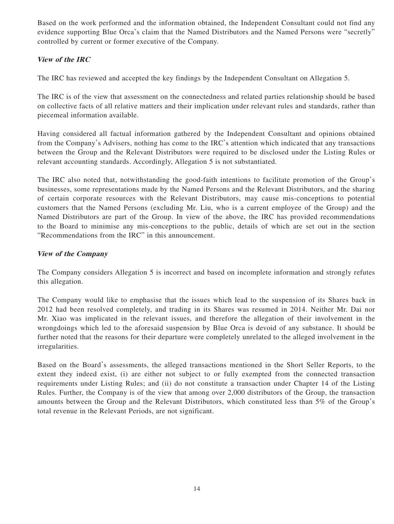Based on the work performed and the information obtained, the Independent Consultant could not find any evidence supporting Blue Orca's claim that the Named Distributors and the Named Persons were "secretly" controlled by current or former executive of the Company.

# **View of the IRC**

The IRC has reviewed and accepted the key findings by the Independent Consultant on Allegation 5.

The IRC is of the view that assessment on the connectedness and related parties relationship should be based on collective facts of all relative matters and their implication under relevant rules and standards, rather than piecemeal information available.

Having considered all factual information gathered by the Independent Consultant and opinions obtained from the Company's Advisers, nothing has come to the IRC's attention which indicated that any transactions between the Group and the Relevant Distributors were required to be disclosed under the Listing Rules or relevant accounting standards. Accordingly, Allegation 5 is not substantiated.

The IRC also noted that, notwithstanding the good-faith intentions to facilitate promotion of the Group's businesses, some representations made by the Named Persons and the Relevant Distributors, and the sharing of certain corporate resources with the Relevant Distributors, may cause mis-conceptions to potential customers that the Named Persons (excluding Mr. Liu, who is a current employee of the Group) and the Named Distributors are part of the Group. In view of the above, the IRC has provided recommendations to the Board to minimise any mis-conceptions to the public, details of which are set out in the section "Recommendations from the IRC" in this announcement.

# **View of the Company**

The Company considers Allegation 5 is incorrect and based on incomplete information and strongly refutes this allegation.

The Company would like to emphasise that the issues which lead to the suspension of its Shares back in 2012 had been resolved completely, and trading in its Shares was resumed in 2014. Neither Mr. Dai nor Mr. Xiao was implicated in the relevant issues, and therefore the allegation of their involvement in the wrongdoings which led to the aforesaid suspension by Blue Orca is devoid of any substance. It should be further noted that the reasons for their departure were completely unrelated to the alleged involvement in the irregularities.

Based on the Board's assessments, the alleged transactions mentioned in the Short Seller Reports, to the extent they indeed exist, (i) are either not subject to or fully exempted from the connected transaction requirements under Listing Rules; and (ii) do not constitute a transaction under Chapter 14 of the Listing Rules. Further, the Company is of the view that among over 2,000 distributors of the Group, the transaction amounts between the Group and the Relevant Distributors, which constituted less than 5% of the Group's total revenue in the Relevant Periods, are not significant.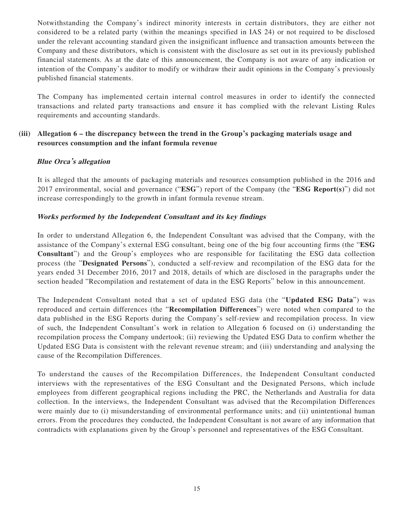Notwithstanding the Company's indirect minority interests in certain distributors, they are either not considered to be a related party (within the meanings specified in IAS 24) or not required to be disclosed under the relevant accounting standard given the insignificant influence and transaction amounts between the Company and these distributors, which is consistent with the disclosure as set out in its previously published financial statements. As at the date of this announcement, the Company is not aware of any indication or intention of the Company's auditor to modify or withdraw their audit opinions in the Company's previously published financial statements.

The Company has implemented certain internal control measures in order to identify the connected transactions and related party transactions and ensure it has complied with the relevant Listing Rules requirements and accounting standards.

# **(iii) Allegation 6 – the discrepancy between the trend in the Group's packaging materials usage and resources consumption and the infant formula revenue**

# **Blue Orca's allegation**

It is alleged that the amounts of packaging materials and resources consumption published in the 2016 and 2017 environmental, social and governance ("**ESG**") report of the Company (the "**ESG Report(s)**") did not increase correspondingly to the growth in infant formula revenue stream.

# **Works performed by the Independent Consultant and its key findings**

In order to understand Allegation 6, the Independent Consultant was advised that the Company, with the assistance of the Company's external ESG consultant, being one of the big four accounting firms (the "**ESG Consultant**") and the Group's employees who are responsible for facilitating the ESG data collection process (the "**Designated Persons**"), conducted a self-review and recompilation of the ESG data for the years ended 31 December 2016, 2017 and 2018, details of which are disclosed in the paragraphs under the section headed "Recompilation and restatement of data in the ESG Reports" below in this announcement.

The Independent Consultant noted that a set of updated ESG data (the "**Updated ESG Data**") was reproduced and certain differences (the "**Recompilation Differences**") were noted when compared to the data published in the ESG Reports during the Company's self-review and recompilation process. In view of such, the Independent Consultant's work in relation to Allegation 6 focused on (i) understanding the recompilation process the Company undertook; (ii) reviewing the Updated ESG Data to confirm whether the Updated ESG Data is consistent with the relevant revenue stream; and (iii) understanding and analysing the cause of the Recompilation Differences.

To understand the causes of the Recompilation Differences, the Independent Consultant conducted interviews with the representatives of the ESG Consultant and the Designated Persons, which include employees from different geographical regions including the PRC, the Netherlands and Australia for data collection. In the interviews, the Independent Consultant was advised that the Recompilation Differences were mainly due to (i) misunderstanding of environmental performance units; and (ii) unintentional human errors. From the procedures they conducted, the Independent Consultant is not aware of any information that contradicts with explanations given by the Group's personnel and representatives of the ESG Consultant.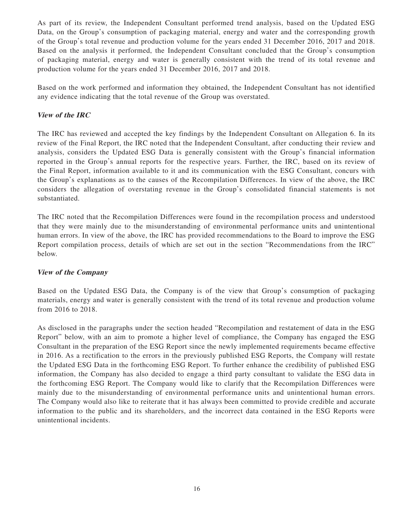As part of its review, the Independent Consultant performed trend analysis, based on the Updated ESG Data, on the Group's consumption of packaging material, energy and water and the corresponding growth of the Group's total revenue and production volume for the years ended 31 December 2016, 2017 and 2018. Based on the analysis it performed, the Independent Consultant concluded that the Group's consumption of packaging material, energy and water is generally consistent with the trend of its total revenue and production volume for the years ended 31 December 2016, 2017 and 2018.

Based on the work performed and information they obtained, the Independent Consultant has not identified any evidence indicating that the total revenue of the Group was overstated.

# **View of the IRC**

The IRC has reviewed and accepted the key findings by the Independent Consultant on Allegation 6. In its review of the Final Report, the IRC noted that the Independent Consultant, after conducting their review and analysis, considers the Updated ESG Data is generally consistent with the Group's financial information reported in the Group's annual reports for the respective years. Further, the IRC, based on its review of the Final Report, information available to it and its communication with the ESG Consultant, concurs with the Group's explanations as to the causes of the Recompilation Differences. In view of the above, the IRC considers the allegation of overstating revenue in the Group's consolidated financial statements is not substantiated.

The IRC noted that the Recompilation Differences were found in the recompilation process and understood that they were mainly due to the misunderstanding of environmental performance units and unintentional human errors. In view of the above, the IRC has provided recommendations to the Board to improve the ESG Report compilation process, details of which are set out in the section "Recommendations from the IRC" below.

### **View of the Company**

Based on the Updated ESG Data, the Company is of the view that Group's consumption of packaging materials, energy and water is generally consistent with the trend of its total revenue and production volume from 2016 to 2018.

As disclosed in the paragraphs under the section headed "Recompilation and restatement of data in the ESG Report" below, with an aim to promote a higher level of compliance, the Company has engaged the ESG Consultant in the preparation of the ESG Report since the newly implemented requirements became effective in 2016. As a rectification to the errors in the previously published ESG Reports, the Company will restate the Updated ESG Data in the forthcoming ESG Report. To further enhance the credibility of published ESG information, the Company has also decided to engage a third party consultant to validate the ESG data in the forthcoming ESG Report. The Company would like to clarify that the Recompilation Differences were mainly due to the misunderstanding of environmental performance units and unintentional human errors. The Company would also like to reiterate that it has always been committed to provide credible and accurate information to the public and its shareholders, and the incorrect data contained in the ESG Reports were unintentional incidents.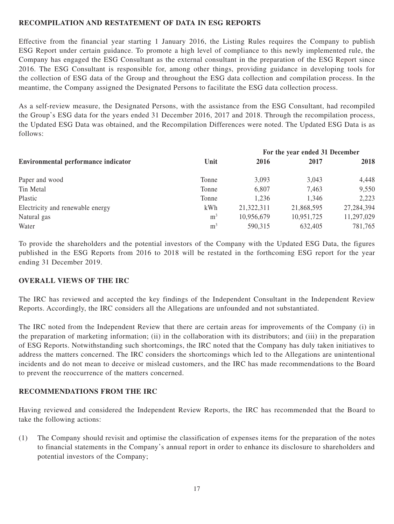# **RECOMPILATION AND RESTATEMENT OF DATA IN ESG REPORTS**

Effective from the financial year starting 1 January 2016, the Listing Rules requires the Company to publish ESG Report under certain guidance. To promote a high level of compliance to this newly implemented rule, the Company has engaged the ESG Consultant as the external consultant in the preparation of the ESG Report since 2016. The ESG Consultant is responsible for, among other things, providing guidance in developing tools for the collection of ESG data of the Group and throughout the ESG data collection and compilation process. In the meantime, the Company assigned the Designated Persons to facilitate the ESG data collection process.

As a self-review measure, the Designated Persons, with the assistance from the ESG Consultant, had recompiled the Group's ESG data for the years ended 31 December 2016, 2017 and 2018. Through the recompilation process, the Updated ESG Data was obtained, and the Recompilation Differences were noted. The Updated ESG Data is as follows:

|                                     |                | For the year ended 31 December |            |            |
|-------------------------------------|----------------|--------------------------------|------------|------------|
| Environmental performance indicator | Unit           | 2016                           | 2017       | 2018       |
| Paper and wood                      | Tonne          | 3,093                          | 3,043      | 4,448      |
| Tin Metal                           | Tonne          | 6,807                          | 7,463      | 9,550      |
| Plastic                             | Tonne          | 1,236                          | 1,346      | 2,223      |
| Electricity and renewable energy    | kWh            | 21,322,311                     | 21,868,595 | 27,284,394 |
| Natural gas                         | m <sup>3</sup> | 10,956,679                     | 10,951,725 | 11,297,029 |
| Water                               | m <sup>3</sup> | 590,315                        | 632,405    | 781,765    |

To provide the shareholders and the potential investors of the Company with the Updated ESG Data, the figures published in the ESG Reports from 2016 to 2018 will be restated in the forthcoming ESG report for the year ending 31 December 2019.

### **OVERALL VIEWS OF THE IRC**

The IRC has reviewed and accepted the key findings of the Independent Consultant in the Independent Review Reports. Accordingly, the IRC considers all the Allegations are unfounded and not substantiated.

The IRC noted from the Independent Review that there are certain areas for improvements of the Company (i) in the preparation of marketing information; (ii) in the collaboration with its distributors; and (iii) in the preparation of ESG Reports. Notwithstanding such shortcomings, the IRC noted that the Company has duly taken initiatives to address the matters concerned. The IRC considers the shortcomings which led to the Allegations are unintentional incidents and do not mean to deceive or mislead customers, and the IRC has made recommendations to the Board to prevent the reoccurrence of the matters concerned.

### **RECOMMENDATIONS FROM THE IRC**

Having reviewed and considered the Independent Review Reports, the IRC has recommended that the Board to take the following actions:

(1) The Company should revisit and optimise the classification of expenses items for the preparation of the notes to financial statements in the Company's annual report in order to enhance its disclosure to shareholders and potential investors of the Company;